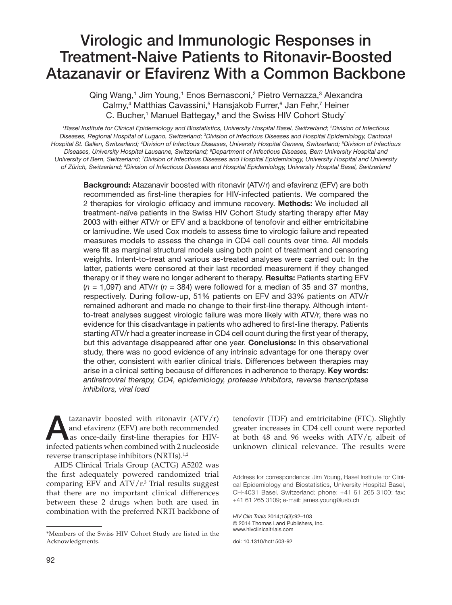# **Virologic and Immunologic Responses in Treatment-Naive Patients to Ritonavir-Boosted Atazanavir or Efavirenz With a Common Backbone**

Qing Wang,<sup>1</sup> Jim Young,<sup>1</sup> Enos Bernasconi,<sup>2</sup> Pietro Vernazza,<sup>3</sup> Alexandra Calmy,<sup>4</sup> Matthias Cavassini,<sup>5</sup> Hansjakob Furrer,<sup>6</sup> Jan Fehr,<sup>7</sup> Heiner C. Bucher,<sup>1</sup> Manuel Battegay,<sup>8</sup> and the Swiss HIV Cohort Study<sup>\*</sup>

*1 Basel Institute for Clinical Epidemiology and Biostatistics, University Hospital Basel, Switzerland; 2 Division of Infectious Diseases, Regional Hospital of Lugano, Switzerland; 3 Division of Infectious Diseases and Hospital Epidemiology, Cantonal Hospital St. Gallen, Switzerland; 4 Division of Infectious Diseases, University Hospital Geneva, Switzerland; 5 Division of Infectious*  Diseases, University Hospital Lausanne, Switzerland; <sup>6</sup>Department of Infectious Diseases, Bern University Hospital and University of Bern, Switzerland; <sup>7</sup>Division of Infectious Diseases and Hospital Epidemiology, University Hospital and University *of Zürich, Switzerland; 8 Division of Infectious Diseases and Hospital Epidemiology, University Hospital Basel, Switzerland*

**Background:** Atazanavir boosted with ritonavir (ATV/r) and efavirenz (EFV) are both recommended as first-line therapies for HIV-infected patients. We compared the 2 therapies for virologic efficacy and immune recovery. **Methods:** We included all treatment-naïve patients in the Swiss HIV Cohort Study starting therapy after May 2003 with either ATV/r or EFV and a backbone of tenofovir and either emtricitabine or lamivudine. We used Cox models to assess time to virologic failure and repeated measures models to assess the change in CD4 cell counts over time. All models were fit as marginal structural models using both point of treatment and censoring weights. Intent-to-treat and various as-treated analyses were carried out: In the latter, patients were censored at their last recorded measurement if they changed therapy or if they were no longer adherent to therapy. **Results:** Patients starting EFV  $(n = 1,097)$  and ATV/r  $(n = 384)$  were followed for a median of 35 and 37 months, respectively. During follow-up, 51% patients on EFV and 33% patients on ATV/r remained adherent and made no change to their first-line therapy. Although intentto-treat analyses suggest virologic failure was more likely with ATV/r, there was no evidence for this disadvantage in patients who adhered to first-line therapy. Patients starting ATV/r had a greater increase in CD4 cell count during the first year of therapy, but this advantage disappeared after one year. **Conclusions:** In this observational study, there was no good evidence of any intrinsic advantage for one therapy over the other, consistent with earlier clinical trials. Differences between therapies may arise in a clinical setting because of differences in adherence to therapy. **Key words:** *antiretroviral therapy, CD4, epidemiology, protease inhibitors, reverse transcriptase inhibitors, viral load*

tazanavir boosted with ritonavir (ATV/r)<br>and efavirenz (EFV) are both recommended<br>as once-daily first-line therapies for HIV-<br>infected patients when combined with 2 pureleoside and efavirenz (EFV) are both recommended as once-daily first-line therapies for HIVinfected patients when combined with 2 nucleoside reverse transcriptase inhibitors (NRTIs).1,2

AIDS Clinical Trials Group (ACTG) A5202 was the first adequately powered randomized trial comparing  $E FV$  and  $ATV/r$ .<sup>3</sup> Trial results suggest that there are no important clinical differences between these 2 drugs when both are used in combination with the preferred NRTI backbone of

tenofovir (TDF) and emtricitabine (FTC). Slightly greater increases in CD4 cell count were reported at both 48 and 96 weeks with ATV/r, albeit of unknown clinical relevance. The results were

*HIV Clin Trials* 2014;15(3):92–103 © 2014 Thomas Land Publishers, Inc. www.hivclinicaltrials.com

doi: 10.1310/hct1503-92

<sup>\*</sup>Members of the Swiss HIV Cohort Study are listed in the Acknowledgments.

Address for correspondence: Jim Young, Basel Institute for Clinical Epidemiology and Biostatistics, University Hospital Basel, CH-4031 Basel, Switzerland; phone: +41 61 265 3100; fax: +41 61 265 3109; e-mail: james.young@usb.ch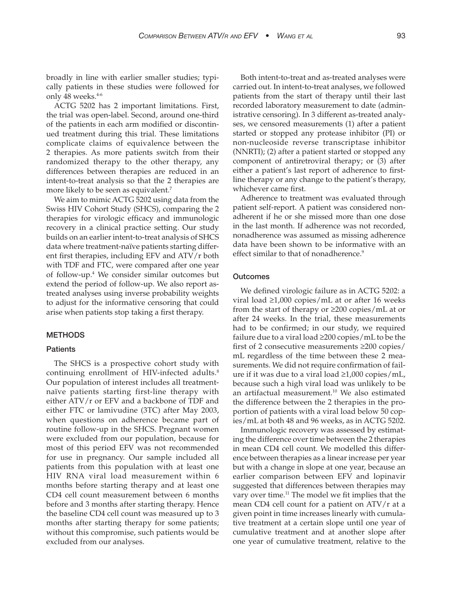broadly in line with earlier smaller studies; typically patients in these studies were followed for only 48 weeks.<sup>4-6</sup>

ACTG 5202 has 2 important limitations. First, the trial was open-label. Second, around one-third of the patients in each arm modified or discontinued treatment during this trial. These limitations complicate claims of equivalence between the 2 therapies. As more patients switch from their randomized therapy to the other therapy, any differences between therapies are reduced in an intent-to-treat analysis so that the 2 therapies are more likely to be seen as equivalent.<sup>7</sup>

We aim to mimic ACTG 5202 using data from the Swiss HIV Cohort Study (SHCS), comparing the 2 therapies for virologic efficacy and immunologic recovery in a clinical practice setting. Our study builds on an earlier intent-to-treat analysis of SHCS data where treatment-naïve patients starting different first therapies, including EFV and ATV/r both with TDF and FTC, were compared after one year of follow-up.4 We consider similar outcomes but extend the period of follow-up. We also report astreated analyses using inverse probability weights to adjust for the informative censoring that could arise when patients stop taking a first therapy.

# **METHODS**

# **Patients**

The SHCS is a prospective cohort study with continuing enrollment of HIV-infected adults.<sup>8</sup> Our population of interest includes all treatmentnaïve patients starting first-line therapy with either ATV/r or EFV and a backbone of TDF and either FTC or lamivudine (3TC) after May 2003, when questions on adherence became part of routine follow-up in the SHCS. Pregnant women were excluded from our population, because for most of this period EFV was not recommended for use in pregnancy. Our sample included all patients from this population with at least one HIV RNA viral load measurement within 6 months before starting therapy and at least one CD4 cell count measurement between 6 months before and 3 months after starting therapy. Hence the baseline CD4 cell count was measured up to 3 months after starting therapy for some patients; without this compromise, such patients would be excluded from our analyses.

Both intent-to-treat and as-treated analyses were carried out. In intent-to-treat analyses, we followed patients from the start of therapy until their last recorded laboratory measurement to date (administrative censoring). In 3 different as-treated analyses, we censored measurements (1) after a patient started or stopped any protease inhibitor (PI) or non-nucleoside reverse transcriptase inhibitor (NNRTI); (2) after a patient started or stopped any component of antiretroviral therapy; or (3) after either a patient's last report of adherence to firstline therapy or any change to the patient's therapy, whichever came first.

Adherence to treatment was evaluated through patient self-report. A patient was considered nonadherent if he or she missed more than one dose in the last month. If adherence was not recorded, nonadherence was assumed as missing adherence data have been shown to be informative with an effect similar to that of nonadherence.<sup>9</sup>

# **Outcomes**

We defined virologic failure as in ACTG 5202: a viral load ≥1,000 copies/mL at or after 16 weeks from the start of therapy or ≥200 copies/mL at or after 24 weeks. In the trial, these measurements had to be confirmed; in our study, we required failure due to a viral load ≥200 copies/mL to be the first of 2 consecutive measurements  $\geq 200$  copies/ mL regardless of the time between these 2 measurements. We did not require confirmation of failure if it was due to a viral load  $\geq 1,000$  copies/mL, because such a high viral load was unlikely to be an artifactual measurement.<sup>10</sup> We also estimated the difference between the 2 therapies in the proportion of patients with a viral load below 50 copies/mL at both 48 and 96 weeks, as in ACTG 5202.

Immunologic recovery was assessed by estimating the difference over time between the 2 therapies in mean CD4 cell count. We modelled this difference between therapies as a linear increase per year but with a change in slope at one year, because an earlier comparison between EFV and lopinavir suggested that differences between therapies may vary over time.<sup>11</sup> The model we fit implies that the mean CD4 cell count for a patient on ATV/r at a given point in time increases linearly with cumulative treatment at a certain slope until one year of cumulative treatment and at another slope after one year of cumulative treatment, relative to the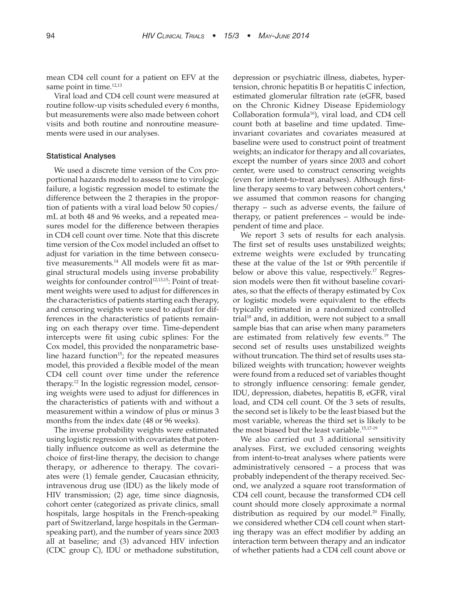mean CD4 cell count for a patient on EFV at the same point in time.<sup>12,13</sup>

Viral load and CD4 cell count were measured at routine follow-up visits scheduled every 6 months, but measurements were also made between cohort visits and both routine and nonroutine measurements were used in our analyses.

#### **Statistical Analyses**

We used a discrete time version of the Cox proportional hazards model to assess time to virologic failure, a logistic regression model to estimate the difference between the 2 therapies in the proportion of patients with a viral load below 50 copies/ mL at both 48 and 96 weeks, and a repeated measures model for the difference between therapies in CD4 cell count over time. Note that this discrete time version of the Cox model included an offset to adjust for variation in the time between consecutive measurements.<sup>14</sup> All models were fit as marginal structural models using inverse probability weights for confounder control<sup>12,13,15</sup>: Point of treatment weights were used to adjust for differences in the characteristics of patients starting each therapy, and censoring weights were used to adjust for differences in the characteristics of patients remaining on each therapy over time. Time- dependent intercepts were fit using cubic splines: For the Cox model, this provided the nonparametric baseline hazard function<sup>15</sup>; for the repeated measures model, this provided a flexible model of the mean CD4 cell count over time under the reference therapy.12 In the logistic regression model, censoring weights were used to adjust for differences in the characteristics of patients with and without a measurement within a window of plus or minus 3 months from the index date (48 or 96 weeks).

The inverse probability weights were estimated using logistic regression with covariates that potentially influence outcome as well as determine the choice of first-line therapy, the decision to change therapy, or adherence to therapy. The covariates were (1) female gender, Caucasian ethnicity, intravenous drug use (IDU) as the likely mode of HIV transmission; (2) age, time since diagnosis, cohort center (categorized as private clinics, small hospitals, large hospitals in the French-speaking part of Switzerland, large hospitals in the Germanspeaking part), and the number of years since 2003 all at baseline; and (3) advanced HIV infection (CDC group C), IDU or methadone substitution,

depression or psychiatric illness, diabetes, hypertension, chronic hepatitis B or hepatitis C infection, estimated glomerular filtration rate (eGFR, based on the Chronic Kidney Disease Epidemiology Collaboration formula<sup>16</sup>), viral load, and CD4 cell count both at baseline and time updated. Timeinvariant covariates and covariates measured at baseline were used to construct point of treatment weights; an indicator for therapy and all covariates, except the number of years since 2003 and cohort center, were used to construct censoring weights (even for intent-to-treat analyses). Although firstline therapy seems to vary between cohort centers,<sup>4</sup> we assumed that common reasons for changing therapy – such as adverse events, the failure of therapy, or patient preferences – would be independent of time and place.

We report 3 sets of results for each analysis. The first set of results uses unstabilized weights; extreme weights were excluded by truncating these at the value of the 1st or 99th percentile if below or above this value, respectively.17 Regression models were then fit without baseline covariates, so that the effects of therapy estimated by Cox or logistic models were equivalent to the effects typically estimated in a randomized controlled trial<sup>18</sup> and, in addition, were not subject to a small sample bias that can arise when many parameters are estimated from relatively few events.19 The second set of results uses unstabilized weights without truncation. The third set of results uses stabilized weights with truncation; however weights were found from a reduced set of variables thought to strongly influence censoring: female gender, IDU, depression, diabetes, hepatitis B, eGFR, viral load, and CD4 cell count. Of the 3 sets of results, the second set is likely to be the least biased but the most variable, whereas the third set is likely to be the most biased but the least variable.<sup>15,17-19</sup>

We also carried out 3 additional sensitivity analyses. First, we excluded censoring weights from intent-to-treat analyses where patients were administratively censored – a process that was probably independent of the therapy received. Second, we analyzed a square root transformation of CD4 cell count, because the transformed CD4 cell count should more closely approximate a normal distribution as required by our model.<sup>20</sup> Finally, we considered whether CD4 cell count when starting therapy was an effect modifier by adding an interaction term between therapy and an indicator of whether patients had a CD4 cell count above or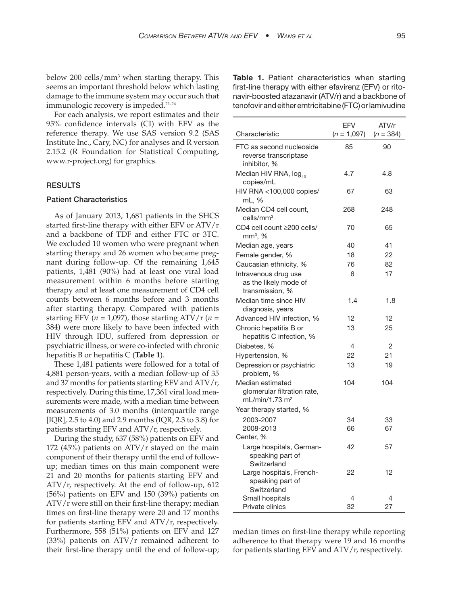below 200 cells/mm3 when starting therapy. This seems an important threshold below which lasting damage to the immune system may occur such that immunologic recovery is impeded.21-24

For each analysis, we report estimates and their  $95\%$  confidence intervals (CI) with EFV as the reference therapy. We use SAS version 9.2 (SAS Institute Inc., Cary, NC) for analyses and R version 2.15.2 (R Foundation for Statistical Computing, www.r-project.org) for graphics.

# **RESULTS**

### **Patient Characteristics**

As of January 2013, 1,681 patients in the SHCS started first-line therapy with either  $E$ FV or  $ATV/r$ and a backbone of TDF and either FTC or 3TC. We excluded 10 women who were pregnant when starting therapy and 26 women who became pregnant during follow-up. Of the remaining 1,645 patients, 1,481 (90%) had at least one viral load measurement within 6 months before starting therapy and at least one measurement of CD4 cell counts between 6 months before and 3 months after starting therapy. Compared with patients starting EFV ( $n = 1,097$ ), those starting ATV/r ( $n =$ 384) were more likely to have been infected with HIV through IDU, suffered from depression or psychiatric illness, or were co-infected with chronic hepatitis B or hepatitis C (**Table 1**).

These 1,481 patients were followed for a total of 4,881 person-years, with a median follow-up of 35 and 37 months for patients starting EFV and ATV/r, respectively. During this time, 17,361 viral load measurements were made, with a median time between measurements of 3.0 months (interquartile range [IQR], 2.5 to 4.0) and 2.9 months (IQR, 2.3 to 3.8) for patients starting EFV and ATV/r, respectively.

During the study, 637 (58%) patients on EFV and 172 (45%) patients on ATV/r stayed on the main component of their therapy until the end of followup; median times on this main component were 21 and 20 months for patients starting EFV and ATV/r, respectively. At the end of follow-up, 612 (56%) patients on EFV and 150 (39%) patients on  $ATV/r$  were still on their first-line therapy; median times on first-line therapy were 20 and 17 months for patients starting EFV and ATV/r, respectively. Furthermore, 558 (51%) patients on EFV and 127 (33%) patients on ATV/r remained adherent to their first-line therapy until the end of follow-up;

**Table 1.** Patient characteristics when starting first-line therapy with either efavirenz (EFV) or ritonavir-boosted atazanavir (ATV/r) and a backbone of tenofovir and either emtricitabine (FTC) or lamivudine

| Characteristic                                                                | EFV<br>$(n = 1,097)$ | ATV/r<br>$(n = 384)$ |
|-------------------------------------------------------------------------------|----------------------|----------------------|
| FTC as second nucleoside<br>reverse transcriptase                             | 85                   | 90                   |
| inhibitor, %<br>Median HIV RNA, log <sub>10</sub><br>copies/mL                | 4.7                  | 4.8                  |
| HIV RNA <100,000 copies/<br>mL, %                                             | 67                   | 63                   |
| Median CD4 cell count,<br>cells/mm <sup>3</sup>                               | 268                  | 248                  |
| CD4 cell count ≥200 cells/<br>$mm3$ , %                                       | 70                   | 65                   |
| Median age, years                                                             | 40                   | 41                   |
| Female gender, %                                                              | 18                   | 22                   |
| Caucasian ethnicity, %                                                        | 76                   | 82                   |
| Intravenous drug use                                                          | 6                    | 17                   |
| as the likely mode of<br>transmission. %                                      |                      |                      |
| Median time since HIV<br>diagnosis, years                                     | 1.4                  | 1.8                  |
| Advanced HIV infection, %                                                     | 12                   | 12                   |
| Chronic hepatitis B or                                                        | 13                   | 25                   |
| hepatitis C infection, %                                                      |                      |                      |
| Diabetes, %                                                                   | 4                    | 2                    |
| Hypertension, %                                                               | 22                   | 21                   |
| Depression or psychiatric<br>problem, %                                       | 13                   | 19                   |
| Median estimated<br>glomerular filtration rate,<br>mL/min/1.73 m <sup>2</sup> | 104                  | 104                  |
| Year therapy started, %                                                       |                      |                      |
| 2003-2007                                                                     | 34                   | 33                   |
| 2008-2013                                                                     | 66                   | 67                   |
| Center, %                                                                     |                      |                      |
| Large hospitals, German-<br>speaking part of<br>Switzerland                   | 42                   | 57                   |
| Large hospitals, French-<br>speaking part of<br>Switzerland                   | 22                   | 12                   |
| Small hospitals                                                               | 4                    | 4                    |
| Private clinics                                                               | 32                   | 27                   |

median times on first-line therapy while reporting adherence to that therapy were 19 and 16 months for patients starting EFV and ATV/r, respectively.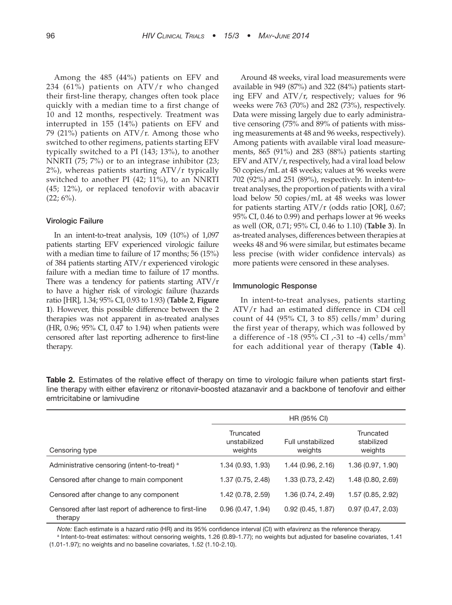Among the 485 (44%) patients on EFV and 234 (61%) patients on ATV/r who changed their first-line therapy, changes often took place quickly with a median time to a first change of 10 and 12 months, respectively. Treatment was interrupted in 155 (14%) patients on EFV and 79 (21%) patients on ATV/r. Among those who switched to other regimens, patients starting EFV typically switched to a PI (143; 13%), to another NNRTI (75; 7%) or to an integrase inhibitor (23; 2%), whereas patients starting ATV/r typically switched to another PI (42; 11%), to an NNRTI (45; 12%), or replaced tenofovir with abacavir  $(22; 6\%)$ .

#### **Virologic Failure**

In an intent-to-treat analysis, 109 (10%) of 1,097 patients starting EFV experienced virologic failure with a median time to failure of 17 months; 56 (15%) of 384 patients starting ATV/r experienced virologic failure with a median time to failure of 17 months. There was a tendency for patients starting ATV/r to have a higher risk of virologic failure (hazards ratio [HR], 1.34; 95% CI, 0.93 to 1.93) (**Table 2**, **Figure 1**). However, this possible difference between the 2 therapies was not apparent in as-treated analyses (HR, 0.96; 95% CI, 0.47 to 1.94) when patients were censored after last reporting adherence to first-line therapy.

Around 48 weeks, viral load measurements were available in 949 (87%) and 322 (84%) patients starting EFV and ATV/r, respectively; values for 96 weeks were 763 (70%) and 282 (73%), respectively. Data were missing largely due to early administrative censoring (75% and 89% of patients with missing measurements at 48 and 96 weeks, respectively). Among patients with available viral load measurements, 865 (91%) and 283 (88%) patients starting EFV and ATV/r, respectively, had a viral load below 50 copies/mL at 48 weeks; values at 96 weeks were 702 (92%) and 251 (89%), respectively. In intent-totreat analyses, the proportion of patients with a viral load below 50 copies/mL at 48 weeks was lower for patients starting ATV/r (odds ratio [OR], 0.67; 95% CI, 0.46 to 0.99) and perhaps lower at 96 weeks as well (OR, 0.71; 95% CI, 0.46 to 1.10) (**Table 3**). In as-treated analyses, differences between therapies at weeks 48 and 96 were similar, but estimates became less precise (with wider confidence intervals) as more patients were censored in these analyses.

#### **Immunologic Response**

In intent-to-treat analyses, patients starting ATV/r had an estimated difference in CD4 cell count of 44 (95% CI, 3 to 85) cells/mm3 during the first year of therapy, which was followed by a difference of -18 (95% CI  $, -31$  to -4) cells/mm<sup>3</sup> for each additional year of therapy (**Table 4**).

**Table 2.** Estimates of the relative effect of therapy on time to virologic failure when patients start firstline therapy with either efavirenz or ritonavir-boosted atazanavir and a backbone of tenofovir and either emtricitabine or lamivudine

|                                                                  | HR (95% CI)                          |                              |                                    |  |
|------------------------------------------------------------------|--------------------------------------|------------------------------|------------------------------------|--|
| Censoring type                                                   | Truncated<br>unstabilized<br>weights | Full unstabilized<br>weights | Truncated<br>stabilized<br>weights |  |
| Administrative censoring (intent-to-treat) a                     | 1.34 (0.93, 1.93)                    | 1.44 (0.96, 2.16)            | 1.36 (0.97, 1.90)                  |  |
| Censored after change to main component                          | 1.37 (0.75, 2.48)                    | 1.33 (0.73, 2.42)            | 1.48 (0.80, 2.69)                  |  |
| Censored after change to any component                           | 1.42 (0.78, 2.59)                    | 1.36 (0.74, 2.49)            | 1.57 (0.85, 2.92)                  |  |
| Censored after last report of adherence to first-line<br>therapy | 0.96(0.47, 1.94)                     | 0.92(0.45, 1.87)             | 0.97(0.47, 2.03)                   |  |

*Note:* Each estimate is a hazard ratio (HR) and its 95% confidence interval (CI) with efavirenz as the reference therapy.

a Intent-to-treat estimates: without censoring weights, 1.26 (0.89-1.77); no weights but adjusted for baseline covariates, 1.41 (1.01-1.97); no weights and no baseline covariates, 1.52 (1.10-2.10).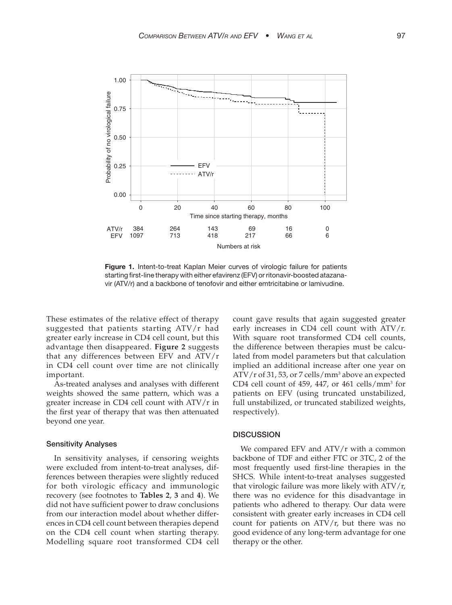

**Figure 1.** Intent-to-treat Kaplan Meier curves of virologic failure for patients starting first-line therapy with either efavirenz (EFV) or ritonavir-boosted atazanavir (ATV/r) and a backbone of tenofovir and either emtricitabine or lamivudine.

These estimates of the relative effect of therapy suggested that patients starting ATV/r had greater early increase in CD4 cell count, but this advantage then disappeared. **Figure 2** suggests that any differences between EFV and ATV/r in CD4 cell count over time are not clinically important.

As-treated analyses and analyses with different weights showed the same pattern, which was a greater increase in CD4 cell count with ATV/r in the first year of therapy that was then attenuated beyond one year.

#### **Sensitivity Analyses**

In sensitivity analyses, if censoring weights were excluded from intent-to-treat analyses, differences between therapies were slightly reduced for both virologic efficacy and immunologic recovery (see footnotes to **Tables 2**, **3** and **4**). We did not have sufficient power to draw conclusions from our interaction model about whether differences in CD4 cell count between therapies depend on the CD4 cell count when starting therapy. Modelling square root transformed CD4 cell

count gave results that again suggested greater early increases in CD4 cell count with ATV/r. With square root transformed CD4 cell counts, the difference between therapies must be calculated from model parameters but that calculation implied an additional increase after one year on ATV/r of 31, 53, or 7 cells/mm<sup>3</sup> above an expected CD4 cell count of  $459$ ,  $447$ , or  $461$  cells/mm<sup>3</sup> for patients on EFV (using truncated unstabilized, full unstabilized, or truncated stabilized weights, respectively).

#### **DISCUSSION**

We compared EFV and ATV/r with a common backbone of TDF and either FTC or 3TC, 2 of the most frequently used first-line therapies in the SHCS. While intent-to-treat analyses suggested that virologic failure was more likely with ATV/r, there was no evidence for this disadvantage in patients who adhered to therapy. Our data were consistent with greater early increases in CD4 cell count for patients on ATV/r, but there was no good evidence of any long-term advantage for one therapy or the other.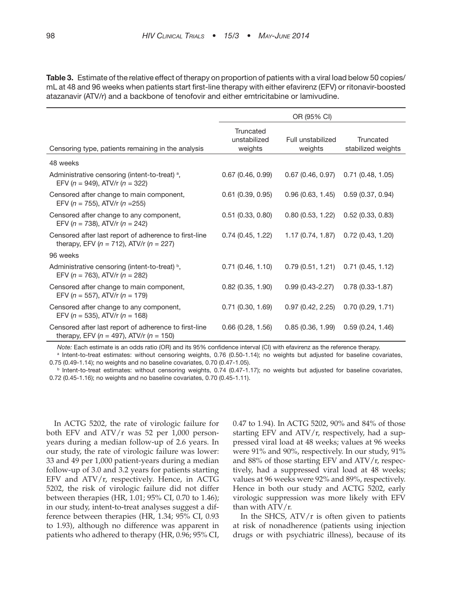**Table 3.** Estimate of the relative effect of therapy on proportion of patients with a viral load below 50 copies/ mL at 48 and 96 weeks when patients start first-line therapy with either efavirenz (EFV) or ritonavir-boosted atazanavir (ATV/r) and a backbone of tenofovir and either emtricitabine or lamivudine.

|                                                                                                          | OR (95% CI)                          |                                         |                                 |  |
|----------------------------------------------------------------------------------------------------------|--------------------------------------|-----------------------------------------|---------------------------------|--|
| Censoring type, patients remaining in the analysis                                                       | Truncated<br>unstabilized<br>weights | Full unstabilized<br>weights            | Truncated<br>stabilized weights |  |
| 48 weeks                                                                                                 |                                      |                                         |                                 |  |
| Administrative censoring (intent-to-treat) <sup>a</sup> ,<br>EFV (n = 949), ATV/r (n = 322)              | 0.67(0.46, 0.99)                     | $0.67$ (0.46, 0.97) $0.71$ (0.48, 1.05) |                                 |  |
| Censored after change to main component,<br>EFV (n = 755), ATV/r (n = 255)                               | 0.61(0.39, 0.95)                     | 0.96(0.63, 1.45)                        | 0.59(0.37, 0.94)                |  |
| Censored after change to any component,<br>EFV ( $n = 738$ ), ATV/r ( $n = 242$ )                        | 0.51(0.33, 0.80)                     | $0.80$ (0.53, 1.22) $0.52$ (0.33, 0.83) |                                 |  |
| Censored after last report of adherence to first-line<br>therapy, EFV ( $n = 712$ ), ATV/r ( $n = 227$ ) | 0.74(0.45, 1.22)                     | $1.17(0.74, 1.87)$ 0.72 (0.43, 1.20)    |                                 |  |
| 96 weeks                                                                                                 |                                      |                                         |                                 |  |
| Administrative censoring (intent-to-treat) b,<br>EFV ( $n = 763$ ), ATV/r ( $n = 282$ )                  | 0.71(0.46, 1.10)                     | $0.79(0.51, 1.21)$ $0.71(0.45, 1.12)$   |                                 |  |
| Censored after change to main component,<br>EFV ( $n = 557$ ), ATV/r ( $n = 179$ )                       | 0.82(0.35, 1.90)                     | $0.99(0.43 - 2.27)$                     | $0.78(0.33 - 1.87)$             |  |
| Censored after change to any component,<br>EFV ( $n = 535$ ), ATV/r ( $n = 168$ )                        | 0.71(0.30, 1.69)                     | 0.97(0.42, 2.25)                        | 0.70(0.29, 1.71)                |  |
| Censored after last report of adherence to first-line<br>therapy, EFV ( $n = 497$ ), ATV/r ( $n = 150$ ) | 0.66(0.28, 1.56)                     | 0.85(0.36, 1.99)                        | 0.59(0.24, 1.46)                |  |

*Note:* Each estimate is an odds ratio (OR) and its 95% confidence interval (CI) with efavirenz as the reference therapy.

a Intent-to-treat estimates: without censoring weights, 0.76 (0.50-1.14); no weights but adjusted for baseline covariates, 0.75 (0.49-1.14); no weights and no baseline covariates, 0.70 (0.47-1.05).

b Intent-to-treat estimates: without censoring weights, 0.74 (0.47-1.17); no weights but adjusted for baseline covariates, 0.72 (0.45-1.16); no weights and no baseline covariates, 0.70 (0.45-1.11).

In ACTG 5202, the rate of virologic failure for both EFV and ATV/r was 52 per 1,000 personyears during a median follow-up of 2.6 years. In our study, the rate of virologic failure was lower: 33 and 49 per 1,000 patient-years during a median follow-up of 3.0 and 3.2 years for patients starting EFV and ATV/r, respectively. Hence, in ACTG 5202, the risk of virologic failure did not differ between therapies (HR, 1.01; 95% CI, 0.70 to 1.46); in our study, intent-to-treat analyses suggest a difference between therapies (HR, 1.34; 95% CI, 0.93 to 1.93), although no difference was apparent in patients who adhered to therapy (HR, 0.96; 95% CI, 0.47 to 1.94). In ACTG 5202, 90% and 84% of those starting EFV and ATV/r, respectively, had a suppressed viral load at 48 weeks; values at 96 weeks were 91% and 90%, respectively. In our study, 91% and 88% of those starting EFV and ATV/r, respectively, had a suppressed viral load at 48 weeks; values at 96 weeks were 92% and 89%, respectively. Hence in both our study and ACTG 5202, early virologic suppression was more likely with EFV than with ATV/r.

In the SHCS,  $ATV/r$  is often given to patients at risk of nonadherence (patients using injection drugs or with psychiatric illness), because of its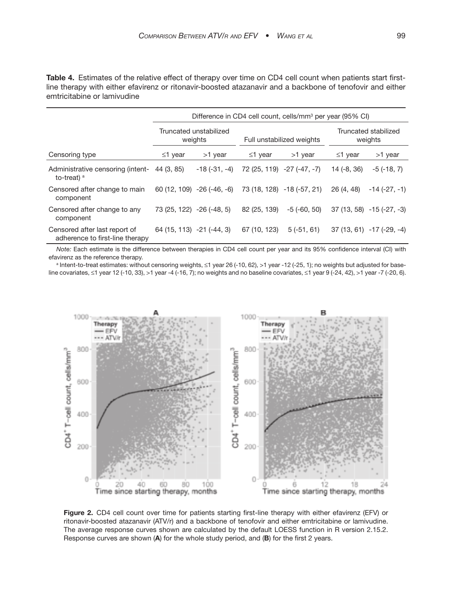**Table 4.** Estimates of the relative effect of therapy over time on CD4 cell count when patients start firstline therapy with either efavirenz or ritonavir-boosted atazanavir and a backbone of tenofovir and either emtricitabine or lamivudine

|                                                                  | Difference in CD4 cell count, cells/mm <sup>3</sup> per year (95% CI) |                            |                           |                            |                                 |                           |
|------------------------------------------------------------------|-----------------------------------------------------------------------|----------------------------|---------------------------|----------------------------|---------------------------------|---------------------------|
|                                                                  | Truncated unstabilized<br>weights                                     |                            | Full unstabilized weights |                            | Truncated stabilized<br>weights |                           |
| Censoring type                                                   | $\leq$ 1 year                                                         | >1 year                    | $\leq$ 1 year             | >1 year                    | $\leq$ 1 year                   | >1 year                   |
| Administrative censoring (intent-<br>to-treat) <sup>a</sup>      | 44 (3, 85)                                                            | $-18(-31, -4)$             |                           | 72 (25, 119) -27 (-47, -7) | $14(-8, 36)$                    | $-5(-18, 7)$              |
| Censored after change to main<br>component                       |                                                                       | $60(12, 109) -26(-46, -6)$ |                           | 73 (18, 128) -18 (-57, 21) | 26 (4, 48)                      | $-14(-27, -1)$            |
| Censored after change to any<br>component                        | 73 (25, 122) -26 (-48, 5)                                             |                            | 82 (25, 139)              | $-5(-60, 50)$              |                                 | $37(13, 58) -15(-27, -3)$ |
| Censored after last report of<br>adherence to first-line therapy | $64(15, 113) -21(-44, 3)$                                             |                            | 67 (10, 123)              | $5(-51, 61)$               |                                 | $37(13, 61) -17(-29, -4)$ |

*Note:* Each estimate is the difference between therapies in CD4 cell count per year and its 95% confidence interval (CI) with efavirenz as the reference therapy.

a Intent-to-treat estimates: without censoring weights, ≤1 year 26 (-10, 62), >1 year -12 (-25, 1); no weights but adjusted for baseline covariates, ≤1 year 12 (-10, 33), >1 year -4 (-16, 7); no weights and no baseline covariates, ≤1 year 9 (-24, 42), >1 year -7 (-20, 6).



Figure 2. CD4 cell count over time for patients starting first-line therapy with either efavirenz (EFV) or ritonavir-boosted atazanavir (ATV/r) and a backbone of tenofovir and either emtricitabine or lamivudine. The average response curves shown are calculated by the default LOESS function in R version 2.15.2. Response curves are shown (A) for the whole study period, and (B) for the first 2 years.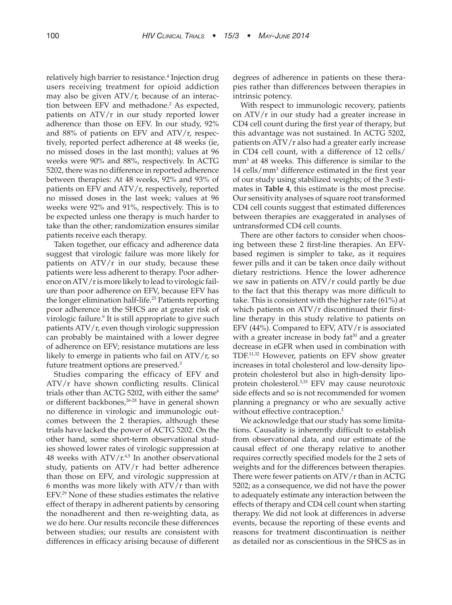relatively high barrier to resistance.<sup>4</sup> Injection drug users receiving treatment for opioid addiction may also be given ATV/r, because of an interaction between EFV and methadone.<sup>2</sup> As expected, patients on ATV/r in our study reported lower adherence than those on EFV. In our study, 92% and 88% of patients on EFV and ATV/r, respectively, reported perfect adherence at 48 weeks (ie, no missed doses in the last month); values at 96 weeks were 90% and 88%, respectively. In ACTG 5202, there was no difference in reported adherence between therapies: At 48 weeks, 92% and 93% of patients on EFV and ATV/r, respectively, reported no missed doses in the last week; values at 96 weeks were 92% and 91%, respectively. This is to be expected unless one therapy is much harder to take than the other; randomization ensures similar patients receive each therapy.

Taken together, our efficacy and adherence data suggest that virologic failure was more likely for patients on ATV/r in our study, because these patients were less adherent to therapy. Poor adherence on ATV/r is more likely to lead to virologic failure than poor adherence on EFV, because EFV has the longer elimination half-life.25 Patients reporting poor adherence in the SHCS are at greater risk of virologic failure.9 It is still appropriate to give such patients ATV/r, even though virologic suppression can probably be maintained with a lower degree of adherence on EFV; resistance mutations are less likely to emerge in patients who fail on ATV/r, so future treatment options are preserved.3

Studies comparing the efficacy of EFV and ATV/r have shown conflicting results. Clinical trials other than ACTG 5202, with either the same $<sup>6</sup>$ </sup> or different backbones,<sup>26-28</sup> have in general shown no difference in virologic and immunologic outcomes between the 2 therapies, although these trials have lacked the power of ACTG 5202. On the other hand, some short-term observational studies showed lower rates of virologic suppression at 48 weeks with  $ATV/r<sup>4,5</sup>$  In another observational study, patients on ATV/r had better adherence than those on EFV, and virologic suppression at 6 months was more likely with ATV/r than with EFV.29 None of these studies estimates the relative effect of therapy in adherent patients by censoring the nonadherent and then re-weighting data, as we do here. Our results reconcile these differences between studies; our results are consistent with differences in efficacy arising because of different

degrees of adherence in patients on these therapies rather than differences between therapies in intrinsic potency.

With respect to immunologic recovery, patients on ATV/r in our study had a greater increase in CD4 cell count during the first year of therapy, but this advantage was not sustained. In ACTG 5202, patients on ATV/r also had a greater early increase in CD4 cell count, with a difference of 12 cells/ mm3 at 48 weeks. This difference is similar to the 14 cells/mm<sup>3</sup> difference estimated in the first year of our study using stabilized weights; of the 3 estimates in **Table 4**, this estimate is the most precise. Our sensitivity analyses of square root transformed CD4 cell counts suggest that estimated differences between therapies are exaggerated in analyses of untransformed CD4 cell counts.

There are other factors to consider when choosing between these 2 first-line therapies. An EFVbased regimen is simpler to take, as it requires fewer pills and it can be taken once daily without dietary restrictions. Hence the lower adherence we saw in patients on ATV/r could partly be due to the fact that this therapy was more difficult to take. This is consistent with the higher rate (61%) at which patients on  $ATV/r$  discontinued their firstline therapy in this study relative to patients on EFV (44%). Compared to EFV, ATV/r is associated with a greater increase in body fat $30$  and a greater decrease in eGFR when used in combination with TDF.31,32 However, patients on EFV show greater increases in total cholesterol and low-density lipoprotein cholesterol but also in high-density lipoprotein cholesterol.<sup>3,33</sup> EFV may cause neurotoxic side effects and so is not recommended for women planning a pregnancy or who are sexually active without effective contraception.<sup>2</sup>

We acknowledge that our study has some limitations. Causality is inherently difficult to establish from observational data, and our estimate of the causal effect of one therapy relative to another requires correctly specified models for the 2 sets of weights and for the differences between therapies. There were fewer patients on ATV/r than in ACTG 5202; as a consequence, we did not have the power to adequately estimate any interaction between the effects of therapy and CD4 cell count when starting therapy. We did not look at differences in adverse events, because the reporting of these events and reasons for treatment discontinuation is neither as detailed nor as conscientious in the SHCS as in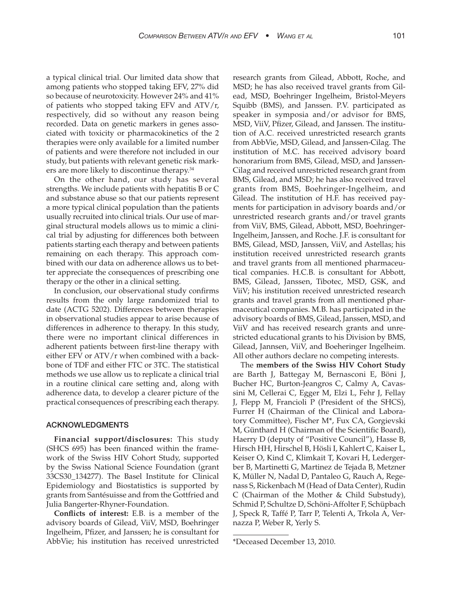a typical clinical trial. Our limited data show that among patients who stopped taking EFV, 27% did so because of neurotoxicity. However 24% and 41% of patients who stopped taking EFV and ATV/r, respectively, did so without any reason being recorded. Data on genetic markers in genes associated with toxicity or pharmacokinetics of the 2 therapies were only available for a limited number of patients and were therefore not included in our study, but patients with relevant genetic risk markers are more likely to discontinue therapy.<sup>34</sup>

On the other hand, our study has several strengths. We include patients with hepatitis B or C and substance abuse so that our patients represent a more typical clinical population than the patients usually recruited into clinical trials. Our use of marginal structural models allows us to mimic a clinical trial by adjusting for differences both between patients starting each therapy and between patients remaining on each therapy. This approach combined with our data on adherence allows us to better appreciate the consequences of prescribing one therapy or the other in a clinical setting.

In conclusion, our observational study confirms results from the only large randomized trial to date (ACTG 5202). Differences between therapies in observational studies appear to arise because of differences in adherence to therapy. In this study, there were no important clinical differences in adherent patients between first-line therapy with either EFV or ATV/r when combined with a backbone of TDF and either FTC or 3TC. The statistical methods we use allow us to replicate a clinical trial in a routine clinical care setting and, along with adherence data, to develop a clearer picture of the practical consequences of prescribing each therapy.

#### **ACKNOWLEDGMENTS**

**Financial support/disclosures:** This study (SHCS 695) has been financed within the framework of the Swiss HIV Cohort Study, supported by the Swiss National Science Foundation (grant 33CS30\_134277). The Basel Institute for Clinical Epidemiology and Biostatistics is supported by grants from Santésuisse and from the Gottfried and Julia Bangerter-Rhyner-Foundation.

**Conflicts of interest:** E.B. is a member of the advisory boards of Gilead, ViiV, MSD, Boehringer Ingelheim, Pfizer, and Janssen; he is consultant for AbbVie; his institution has received unrestricted

research grants from Gilead, Abbott, Roche, and MSD; he has also received travel grants from Gilead, MSD, Boehringer Ingelheim, Bristol-Meyers Squibb (BMS), and Janssen. P.V. participated as speaker in symposia and/or advisor for BMS, MSD, ViiV, Pfizer, Gilead, and Janssen. The institution of A.C. received unrestricted research grants from AbbVie, MSD, Gilead, and Janssen-Cilag. The institution of M.C. has received advisory board honorarium from BMS, Gilead, MSD, and Janssen-Cilag and received unrestricted research grant from BMS, Gilead, and MSD; he has also received travel grants from BMS, Boehringer-Ingelheim, and Gilead. The institution of H.F. has received payments for participation in advisory boards and/or unrestricted research grants and/or travel grants from ViiV, BMS, Gilead, Abbott, MSD, Boehringer-Ingelheim, Janssen, and Roche. J.F. is consultant for BMS, Gilead, MSD, Janssen, ViiV, and Astellas; his institution received unrestricted research grants and travel grants from all mentioned pharmaceutical companies. H.C.B. is consultant for Abbott, BMS, Gilead, Janssen, Tibotec, MSD, GSK, and ViiV; his institution received unrestricted research grants and travel grants from all mentioned pharmaceutical companies. M.B. has participated in the advisory boards of BMS, Gilead, Janssen, MSD, and ViiV and has received research grants and unrestricted educational grants to his Division by BMS, Gilead, Jannsen, ViiV, and Boeheringer Ingelheim. All other authors declare no competing interests.

The **members of the Swiss HIV Cohort Study** are Barth J, Battegay M, Bernasconi E, Böni J, Bucher HC, Burton-Jeangros C, Calmy A, Cavassini M, Cellerai C, Egger M, Elzi L, Fehr J, Fellay J, Flepp M, Francioli P (President of the SHCS), Furrer H (Chairman of the Clinical and Laboratory Committee), Fischer M\*, Fux CA, Gorgievski M, Günthard H (Chairman of the Scientific Board), Haerry D (deputy of "Positive Council"), Hasse B, Hirsch HH, Hirschel B, Hösli I, Kahlert C, Kaiser L, Keiser O, Kind C, Klimkait T, Kovari H, Ledergerber B, Martinetti G, Martinez de Tejada B, Metzner K, Müller N, Nadal D, Pantaleo G, Rauch A, Regenass S, Rickenbach M (Head of Data Center), Rudin C (Chairman of the Mother & Child Substudy), Schmid P, Schultze D, Schöni-Affolter F, Schüpbach J, Speck R, Taffé P, Tarr P, Telenti A, Trkola A, Vernazza P, Weber R, Yerly S.

<sup>\*</sup>Deceased December 13, 2010.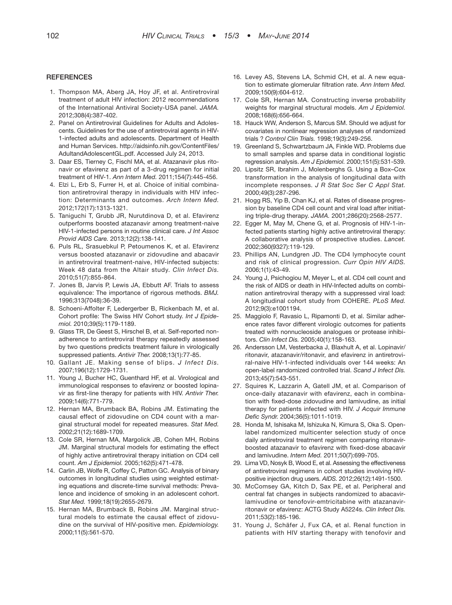# **REFERENCES**

- 1. Thompson MA, Aberg JA, Hoy JF, et al. Antiretroviral treatment of adult HIV infection: 2012 recommendations of the International Antiviral Society-USA panel. *JAMA.* 2012;308(4):387-402.
- 2. Panel on Antiretroviral Guidelines for Adults and Adolescents. Guidelines for the use of antiretroviral agents in HIV-1-infected adults and adolescents. Department of Health and Human Services. http://aidsinfo.nih.gov/ContentFiles/ AdultandAdolescentGL.pdf. Accessed July 24, 2013.
- 3. Daar ES, Tierney C, Fischl MA, et al. Atazanavir plus ritonavir or efavirenz as part of a 3-drug regimen for initial treatment of HIV-1. *Ann Intern Med.* 2011;154(7):445-456.
- 4. Elzi L, Erb S, Furrer H, et al. Choice of initial combination antiretroviral therapy in individuals with HIV infection: Determinants and outcomes. *Arch Intern Med.* 2012;172(17):1313-1321.
- 5. Taniguchi T, Grubb JR, Nurutdinova D, et al. Efavirenz outperforms boosted atazanavir among treatment-naive HIV-1-infected persons in routine clinical care. *J Int Assoc Provid AIDS Care.* 2013;12(2):138-141.
- 6. Puls RL, Srasuebkul P, Petoumenos K, et al. Efavirenz versus boosted atazanavir or zidovudine and abacavir in antiretroviral treatment-naive, HIV-infected subjects: Week 48 data from the Altair study. *Clin Infect Dis.* 2010;51(7):855-864.
- 7. Jones B, Jarvis P, Lewis JA, Ebbutt AF. Trials to assess equivalence: The importance of rigorous methods. *BMJ.* 1996;313(7048):36-39.
- 8. Schoeni-Affolter F, Ledergerber B, Rickenbach M, et al. Cohort profile: The Swiss HIV Cohort study. Int J Epide*miol.* 2010;39(5):1179-1189.
- 9. Glass TR, De Geest S, Hirschel B, et al. Self-reported nonadherence to antiretroviral therapy repeatedly assessed by two questions predicts treatment failure in virologically suppressed patients. *Antivir Ther.* 2008;13(1):77-85.
- 10. Gallant JE. Making sense of blips. *J Infect Dis.* 2007;196(12):1729-1731.
- 11. Young J, Bucher HC, Guenthard HF, et al. Virological and immunological responses to efavirenz or boosted lopinavir as first-line therapy for patients with HIV. Antivir Ther. 2009;14(6):771-779.
- 12. Hernan MA, Brumback BA, Robins JM. Estimating the causal effect of zidovudine on CD4 count with a marginal structural model for repeated measures. *Stat Med.* 2002;21(12):1689-1709.
- 13. Cole SR, Hernan MA, Margolick JB, Cohen MH, Robins JM. Marginal structural models for estimating the effect of highly active antiretroviral therapy initiation on CD4 cell count. *Am J Epidemiol.* 2005;162(5):471-478.
- 14. Carlin JB, Wolfe R, Coffey C, Patton GC. Analysis of binary outcomes in longitudinal studies using weighted estimating equations and discrete-time survival methods: Prevalence and incidence of smoking in an adolescent cohort. *Stat Med.* 1999;18(19):2655-2679.
- 15. Hernan MA, Brumback B, Robins JM. Marginal structural models to estimate the causal effect of zidovudine on the survival of HIV-positive men. *Epidemiology.* 2000;11(5):561-570.
- 16. Levey AS, Stevens LA, Schmid CH, et al. A new equation to estimate glomerular filtration rate. Ann Intern Med. 2009;150(9):604-612.
- 17. Cole SR, Hernan MA. Constructing inverse probability weights for marginal structural models. *Am J Epidemiol.* 2008;168(6):656-664.
- 18. Hauck WW, Anderson S, Marcus SM. Should we adjust for covariates in nonlinear regression analyses of randomized trials ? *Control Clin Trials.* 1998;19(3):249-256.
- 19. Greenland S, Schwartzbaum JA, Finkle WD. Problems due to small samples and sparse data in conditional logistic regression analysis. *Am J Epidemiol.* 2000;151(5):531-539.
- 20. Lipsitz SR, Ibrahim J, Molenberghs G. Using a Box–Cox transformation in the analysis of longitudinal data with incomplete responses. *J R Stat Soc Ser C Appl Stat.* 2000;49(3):287-296.
- 21. Hogg RS, Yip B, Chan KJ, et al. Rates of disease progression by baseline CD4 cell count and viral load after initiating triple-drug therapy. *JAMA.* 2001;286(20):2568-2577.
- 22. Egger M, May M, Chene G, et al. Prognosis of HIV-1-infected patients starting highly active antiretroviral therapy: A collaborative analysis of prospective studies. *Lancet.* 2002;360(9327):119-129.
- 23. Phillips AN, Lundgren JD. The CD4 lymphocyte count and risk of clinical progression. *Curr Opin HIV AIDS.* 2006;1(1):43-49.
- 24. Young J, Psichogiou M, Meyer L, et al. CD4 cell count and the risk of AIDS or death in HIV-Infected adults on combination antiretroviral therapy with a suppressed viral load: A longitudinal cohort study from COHERE. *PLoS Med.* 2012;9(3):e1001194.
- 25. Maggiolo F, Ravasio L, Ripamonti D, et al. Similar adherence rates favor different virologic outcomes for patients treated with nonnucleoside analogues or protease inhibitors. *Clin Infect Dis.* 2005;40(1):158-163.
- 26. Andersson LM, Vesterbacka J, Blaxhult A, et al. Lopinavir/ ritonavir, atazanavir/ritonavir, and efavirenz in antiretroviral-naive HIV-1-infected individuals over 144 weeks: An open-label randomized controlled trial. *Scand J Infect Dis.* 2013;45(7):543-551.
- 27. Squires K, Lazzarin A, Gatell JM, et al. Comparison of once-daily atazanavir with efavirenz, each in combination with fixed-dose zidovudine and lamivudine, as initial therapy for patients infected with HIV. *J Acquir Immune Defi c Syndr.* 2004;36(5):1011-1019.
- 28. Honda M, Ishisaka M, Ishizuka N, Kimura S, Oka S. Openlabel randomized multicenter selection study of once daily antiretroviral treatment regimen comparing ritonavirboosted atazanavir to efavirenz with fixed-dose abacavir and lamivudine. *Intern Med.* 2011;50(7):699-705.
- 29. Lima VD, Nosyk B, Wood E, et al. Assessing the effectiveness of antiretroviral regimens in cohort studies involving HIVpositive injection drug users. *AIDS.* 2012;26(12):1491-1500.
- 30. McComsey GA, Kitch D, Sax PE, et al. Peripheral and central fat changes in subjects randomized to abacavirlamivudine or tenofovir-emtricitabine with atazanavirritonavir or efavirenz: ACTG Study A5224s. *Clin Infect Dis.* 2011;53(2):185-196.
- 31. Young J, Schäfer J, Fux CA, et al. Renal function in patients with HIV starting therapy with tenofovir and